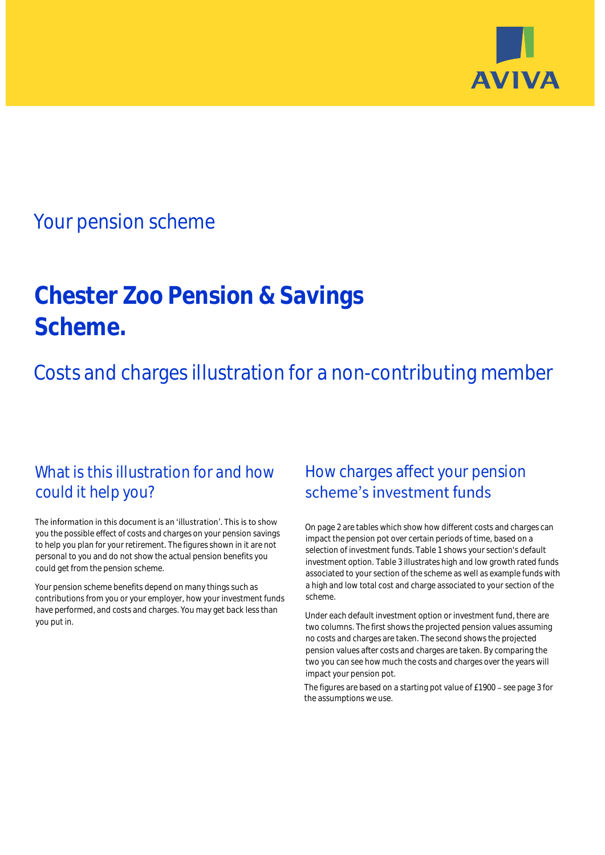

# Your pension scheme

# **Chester Zoo Pension & Savings Scheme.**

Costs and charges illustration for a non-contributing member

## What is this illustration for and how could it help you?

#### The information in this document is an 'illustration'. This is to show you the possible effect of costs and charges on your pension savings to help you plan for your retirement. The figures shown in it are not personal to you and do not show the actual pension benefits you could get from the pension scheme.

Your pension scheme benefits depend on many things such as contributions from you or your employer, how your investment funds have performed, and costs and charges. You may get back less than you put in.

## How charges affect your pension scheme's investment funds

On page 2 are tables which show how different costs and charges can impact the pension pot over certain periods of time, based on a selection of investment funds. Table 1 shows your section's default investment option. Table 3 illustrates high and low growth rated funds associated to your section of the scheme as well as example funds with a high and low total cost and charge associated to your section of the scheme.

Under each default investment option or investment fund, there are two columns. The first shows the projected pension values assuming no costs and charges are taken. The second shows the projected pension values after costs and charges are taken. By comparing the two you can see how much the costs and charges over the years will impact your pension pot.

The figures are based on a starting pot value of £1900 - see page 3 for the assumptions we use.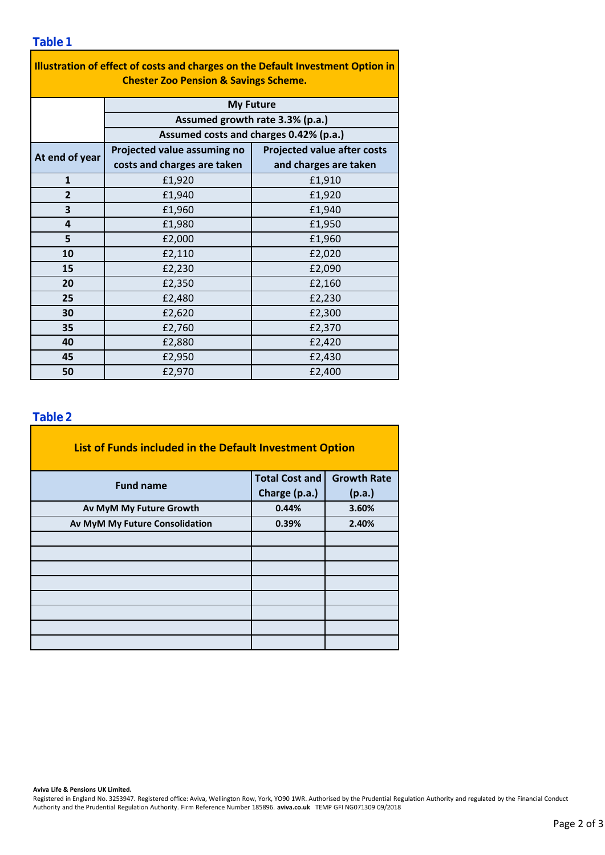### **Table 1**

| Illustration of effect of costs and charges on the Default Investment Option in<br><b>Chester Zoo Pension &amp; Savings Scheme.</b> |                                                                                               |                                    |  |  |  |  |  |  |
|-------------------------------------------------------------------------------------------------------------------------------------|-----------------------------------------------------------------------------------------------|------------------------------------|--|--|--|--|--|--|
|                                                                                                                                     | <b>My Future</b><br>Assumed growth rate 3.3% (p.a.)<br>Assumed costs and charges 0.42% (p.a.) |                                    |  |  |  |  |  |  |
|                                                                                                                                     |                                                                                               |                                    |  |  |  |  |  |  |
|                                                                                                                                     |                                                                                               |                                    |  |  |  |  |  |  |
| At end of year                                                                                                                      | Projected value assuming no                                                                   | <b>Projected value after costs</b> |  |  |  |  |  |  |
|                                                                                                                                     | costs and charges are taken                                                                   | and charges are taken              |  |  |  |  |  |  |
| $\mathbf{1}$                                                                                                                        | £1,920                                                                                        | £1,910                             |  |  |  |  |  |  |
| $\overline{2}$                                                                                                                      | £1,940                                                                                        | £1,920                             |  |  |  |  |  |  |
| 3                                                                                                                                   | £1,960                                                                                        | £1,940                             |  |  |  |  |  |  |
| 4                                                                                                                                   | £1,980                                                                                        | £1,950                             |  |  |  |  |  |  |
| 5                                                                                                                                   | £2,000                                                                                        | £1,960                             |  |  |  |  |  |  |
| 10                                                                                                                                  | £2,110                                                                                        | £2,020                             |  |  |  |  |  |  |
| 15                                                                                                                                  | £2,230                                                                                        | £2,090                             |  |  |  |  |  |  |
| 20                                                                                                                                  | £2,350                                                                                        | £2,160                             |  |  |  |  |  |  |
| 25                                                                                                                                  | £2,480                                                                                        | £2,230                             |  |  |  |  |  |  |
| 30                                                                                                                                  | £2,620                                                                                        | £2,300                             |  |  |  |  |  |  |
| 35                                                                                                                                  | £2,760                                                                                        | £2,370                             |  |  |  |  |  |  |
| 40                                                                                                                                  | £2,880                                                                                        | £2,420                             |  |  |  |  |  |  |
| 45                                                                                                                                  | £2,950                                                                                        | £2,430                             |  |  |  |  |  |  |
| 50                                                                                                                                  | £2,970                                                                                        | £2,400                             |  |  |  |  |  |  |

### **Table 2**

| List of Funds included in the Default Investment Option |                       |                    |  |  |  |  |  |  |
|---------------------------------------------------------|-----------------------|--------------------|--|--|--|--|--|--|
| <b>Fund name</b>                                        | <b>Total Cost and</b> | <b>Growth Rate</b> |  |  |  |  |  |  |
|                                                         | Charge (p.a.)         | (p.a.)             |  |  |  |  |  |  |
| Av MyM My Future Growth                                 | 0.44%                 | 3.60%              |  |  |  |  |  |  |
| Av MyM My Future Consolidation                          | 0.39%                 | 2.40%              |  |  |  |  |  |  |
|                                                         |                       |                    |  |  |  |  |  |  |
|                                                         |                       |                    |  |  |  |  |  |  |
|                                                         |                       |                    |  |  |  |  |  |  |
|                                                         |                       |                    |  |  |  |  |  |  |
|                                                         |                       |                    |  |  |  |  |  |  |
|                                                         |                       |                    |  |  |  |  |  |  |
|                                                         |                       |                    |  |  |  |  |  |  |
|                                                         |                       |                    |  |  |  |  |  |  |

#### **Aviva Life & Pensions UK Limited.**

Registered in England No. 3253947. Registered office: Aviva, Wellington Row, York, YO90 1WR. Authorised by the Prudential Regulation Authority and regulated by the Financial Conduct Authority and the Prudential Regulation Authority. Firm Reference Number 185896. **aviva.co.uk** TEMP GFI NG071309 09/2018